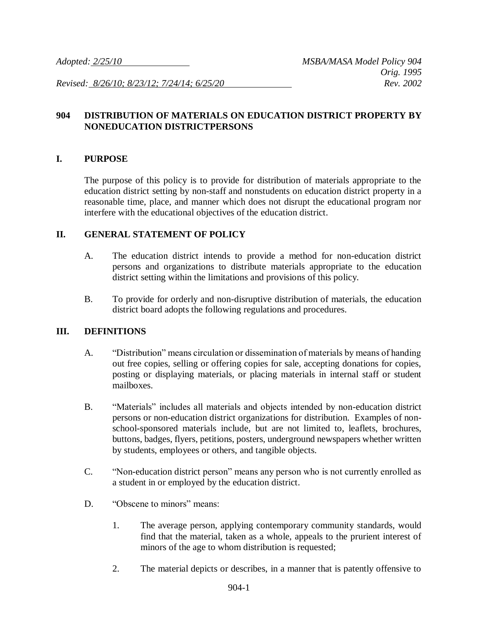*Revised: 8/26/10; 8/23/12; 7/24/14; 6/25/20 Rev. 2002*

## **904 DISTRIBUTION OF MATERIALS ON EDUCATION DISTRICT PROPERTY BY NONEDUCATION DISTRICTPERSONS**

#### **I. PURPOSE**

The purpose of this policy is to provide for distribution of materials appropriate to the education district setting by non-staff and nonstudents on education district property in a reasonable time, place, and manner which does not disrupt the educational program nor interfere with the educational objectives of the education district.

#### **II. GENERAL STATEMENT OF POLICY**

- A. The education district intends to provide a method for non-education district persons and organizations to distribute materials appropriate to the education district setting within the limitations and provisions of this policy.
- B. To provide for orderly and non-disruptive distribution of materials, the education district board adopts the following regulations and procedures.

### **III. DEFINITIONS**

- A. "Distribution" means circulation or dissemination of materials by means of handing out free copies, selling or offering copies for sale, accepting donations for copies, posting or displaying materials, or placing materials in internal staff or student mailboxes.
- B. "Materials" includes all materials and objects intended by non-education district persons or non-education district organizations for distribution. Examples of nonschool-sponsored materials include, but are not limited to, leaflets, brochures, buttons, badges, flyers, petitions, posters, underground newspapers whether written by students, employees or others, and tangible objects.
- C. "Non-education district person" means any person who is not currently enrolled as a student in or employed by the education district.
- D. "Obscene to minors" means:
	- 1. The average person, applying contemporary community standards, would find that the material, taken as a whole, appeals to the prurient interest of minors of the age to whom distribution is requested;
	- 2. The material depicts or describes, in a manner that is patently offensive to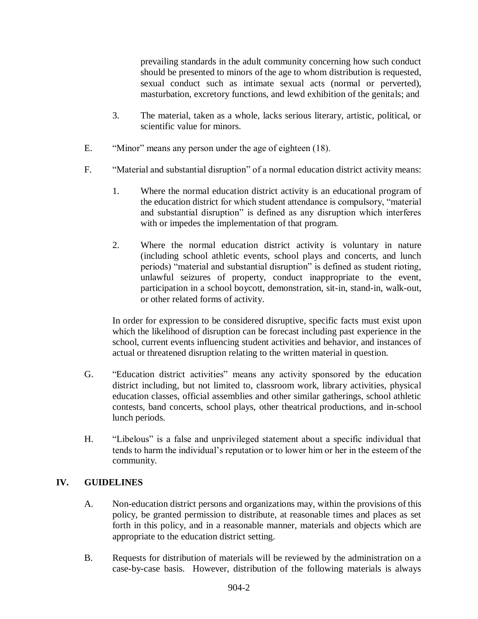prevailing standards in the adult community concerning how such conduct should be presented to minors of the age to whom distribution is requested, sexual conduct such as intimate sexual acts (normal or perverted), masturbation, excretory functions, and lewd exhibition of the genitals; and

- 3. The material, taken as a whole, lacks serious literary, artistic, political, or scientific value for minors.
- E. "Minor" means any person under the age of eighteen (18).
- F. "Material and substantial disruption" of a normal education district activity means:
	- 1. Where the normal education district activity is an educational program of the education district for which student attendance is compulsory, "material and substantial disruption" is defined as any disruption which interferes with or impedes the implementation of that program.
	- 2. Where the normal education district activity is voluntary in nature (including school athletic events, school plays and concerts, and lunch periods) "material and substantial disruption" is defined as student rioting, unlawful seizures of property, conduct inappropriate to the event, participation in a school boycott, demonstration, sit-in, stand-in, walk-out, or other related forms of activity.

In order for expression to be considered disruptive, specific facts must exist upon which the likelihood of disruption can be forecast including past experience in the school, current events influencing student activities and behavior, and instances of actual or threatened disruption relating to the written material in question.

- G. "Education district activities" means any activity sponsored by the education district including, but not limited to, classroom work, library activities, physical education classes, official assemblies and other similar gatherings, school athletic contests, band concerts, school plays, other theatrical productions, and in-school lunch periods.
- H. "Libelous" is a false and unprivileged statement about a specific individual that tends to harm the individual's reputation or to lower him or her in the esteem of the community.

# **IV. GUIDELINES**

- A. Non-education district persons and organizations may, within the provisions of this policy, be granted permission to distribute, at reasonable times and places as set forth in this policy, and in a reasonable manner, materials and objects which are appropriate to the education district setting.
- B. Requests for distribution of materials will be reviewed by the administration on a case-by-case basis. However, distribution of the following materials is always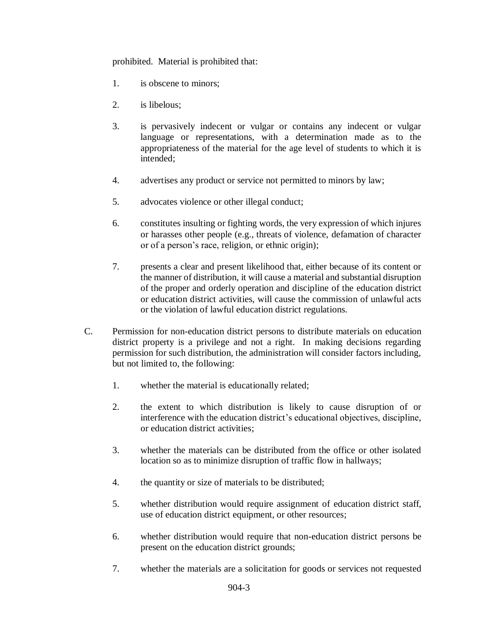prohibited. Material is prohibited that:

- 1. is obscene to minors;
- 2. is libelous;
- 3. is pervasively indecent or vulgar or contains any indecent or vulgar language or representations, with a determination made as to the appropriateness of the material for the age level of students to which it is intended;
- 4. advertises any product or service not permitted to minors by law;
- 5. advocates violence or other illegal conduct;
- 6. constitutes insulting or fighting words, the very expression of which injures or harasses other people (e.g., threats of violence, defamation of character or of a person's race, religion, or ethnic origin);
- 7. presents a clear and present likelihood that, either because of its content or the manner of distribution, it will cause a material and substantial disruption of the proper and orderly operation and discipline of the education district or education district activities, will cause the commission of unlawful acts or the violation of lawful education district regulations.
- C. Permission for non-education district persons to distribute materials on education district property is a privilege and not a right. In making decisions regarding permission for such distribution, the administration will consider factors including, but not limited to, the following:
	- 1. whether the material is educationally related;
	- 2. the extent to which distribution is likely to cause disruption of or interference with the education district's educational objectives, discipline, or education district activities;
	- 3. whether the materials can be distributed from the office or other isolated location so as to minimize disruption of traffic flow in hallways;
	- 4. the quantity or size of materials to be distributed;
	- 5. whether distribution would require assignment of education district staff, use of education district equipment, or other resources;
	- 6. whether distribution would require that non-education district persons be present on the education district grounds;
	- 7. whether the materials are a solicitation for goods or services not requested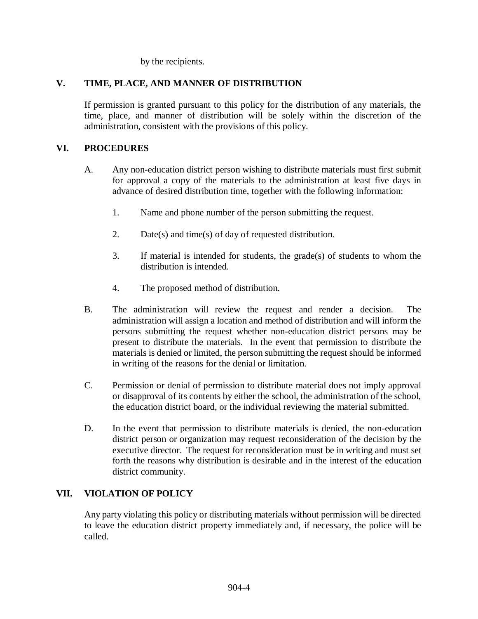by the recipients.

# **V. TIME, PLACE, AND MANNER OF DISTRIBUTION**

If permission is granted pursuant to this policy for the distribution of any materials, the time, place, and manner of distribution will be solely within the discretion of the administration, consistent with the provisions of this policy.

# **VI. PROCEDURES**

- A. Any non-education district person wishing to distribute materials must first submit for approval a copy of the materials to the administration at least five days in advance of desired distribution time, together with the following information:
	- 1. Name and phone number of the person submitting the request.
	- 2. Date(s) and time(s) of day of requested distribution.
	- 3. If material is intended for students, the grade(s) of students to whom the distribution is intended.
	- 4. The proposed method of distribution.
- B. The administration will review the request and render a decision. The administration will assign a location and method of distribution and will inform the persons submitting the request whether non-education district persons may be present to distribute the materials. In the event that permission to distribute the materials is denied or limited, the person submitting the request should be informed in writing of the reasons for the denial or limitation.
- C. Permission or denial of permission to distribute material does not imply approval or disapproval of its contents by either the school, the administration of the school, the education district board, or the individual reviewing the material submitted.
- D. In the event that permission to distribute materials is denied, the non-education district person or organization may request reconsideration of the decision by the executive director. The request for reconsideration must be in writing and must set forth the reasons why distribution is desirable and in the interest of the education district community.

# **VII. VIOLATION OF POLICY**

Any party violating this policy or distributing materials without permission will be directed to leave the education district property immediately and, if necessary, the police will be called.